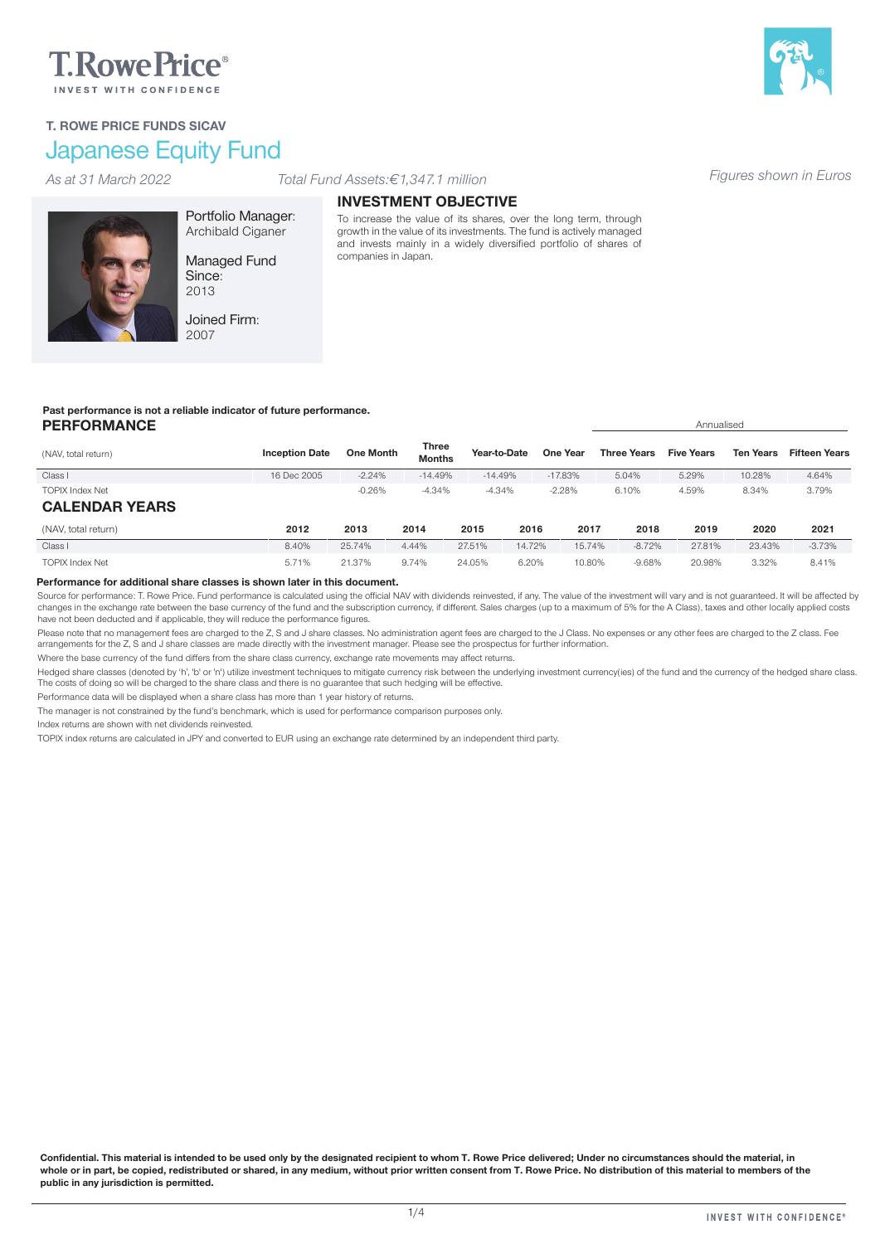# **T.RowePrice**®

# Japanese Equity Fund T. ROWE PRICE FUNDS SICAV

# *Figures shown in Euros As at 31 March 2022 Total Fund Assets:€1,347.1 million*



Archibald Ciganer Managed Fund Since: 2013

Portfolio Manager:

Joined Firm: 2007

### INVESTMENT OBJECTIVE

To increase the value of its shares, over the long term, through growth in the value of its investments. The fund is actively managed and invests mainly in a widely diversified portfolio of shares of companies in Japan.

# Past performance is not a reliable indicator of future performance.

#### **PERFORMANCE** Annualised (NAV, total return) **Inception Date One Month Three**<br> **Inception Date One Month Months** Year-to-Date One Year Three Years Five Years Ten Years Fifteen Years Class I 16 Dec 2005 -2.24% -14.49% -14.49% -17.83% 5.04% 5.29% 10.28% 4.64% TOPIX Index Net -0.26% -4.34% -4.34% -2.28% 6.10% 4.59% 8.34% 3.79% CALENDAR YEARS (NAV, total return) 2012 2013 2014 2015 2016 2017 2018 2019 2020 2021 Class I 8.40% 25.74% 4.44% 27.51% 14.72% 15.74% -8.72% 27.81% 23.43% -3.73% TOPIX Index Net 5.71% 21.37% 9.74% 24.05% 6.20% 10.80% -9.68% 20.98% 3.32% 8.41%

#### Performance for additional share classes is shown later in this document.

Source for performance: T. Rowe Price. Fund performance is calculated using the official NAV with dividends reinvested, if any. The value of the investment will vary and is not guaranteed. It will be affected by changes in the exchange rate between the base currency of the fund and the subscription currency, if different. Sales charges (up to a maximum of 5% for the A Class), taxes and other locally applied costs have not been deducted and if applicable, they will reduce the performance figures.

Please note that no management fees are charged to the Z, S and J share classes. No administration agent fees are charged to the J Class. No expenses or any other fees are charged to the 2 class. Fee arrangements for the Z, S and J share classes are made directly with the investment manager. Please see the prospectus for further information.

Where the base currency of the fund differs from the share class currency, exchange rate movements may affect returns.

Hedged share classes (denoted by 'h', 'b' or 'n') utilize investment techniques to mitigate currency risk between the underlying investment currency(ies) of the fund and the currency of the hedged share class. The costs of doing so will be charged to the share class and there is no guarantee that such hedging will be effective.

Performance data will be displayed when a share class has more than 1 year history of returns.

The manager is not constrained by the fund's benchmark, which is used for performance comparison purposes only.

Index returns are shown with net dividends reinvested.

TOPIX index returns are calculated in JPY and converted to EUR using an exchange rate determined by an independent third party.

Confidential. This material is intended to be used only by the designated recipient to whom T. Rowe Price delivered; Under no circumstances should the material, in whole or in part, be copied, redistributed or shared, in any medium, without prior written consent from T. Rowe Price. No distribution of this material to members of the public in any jurisdiction is permitted.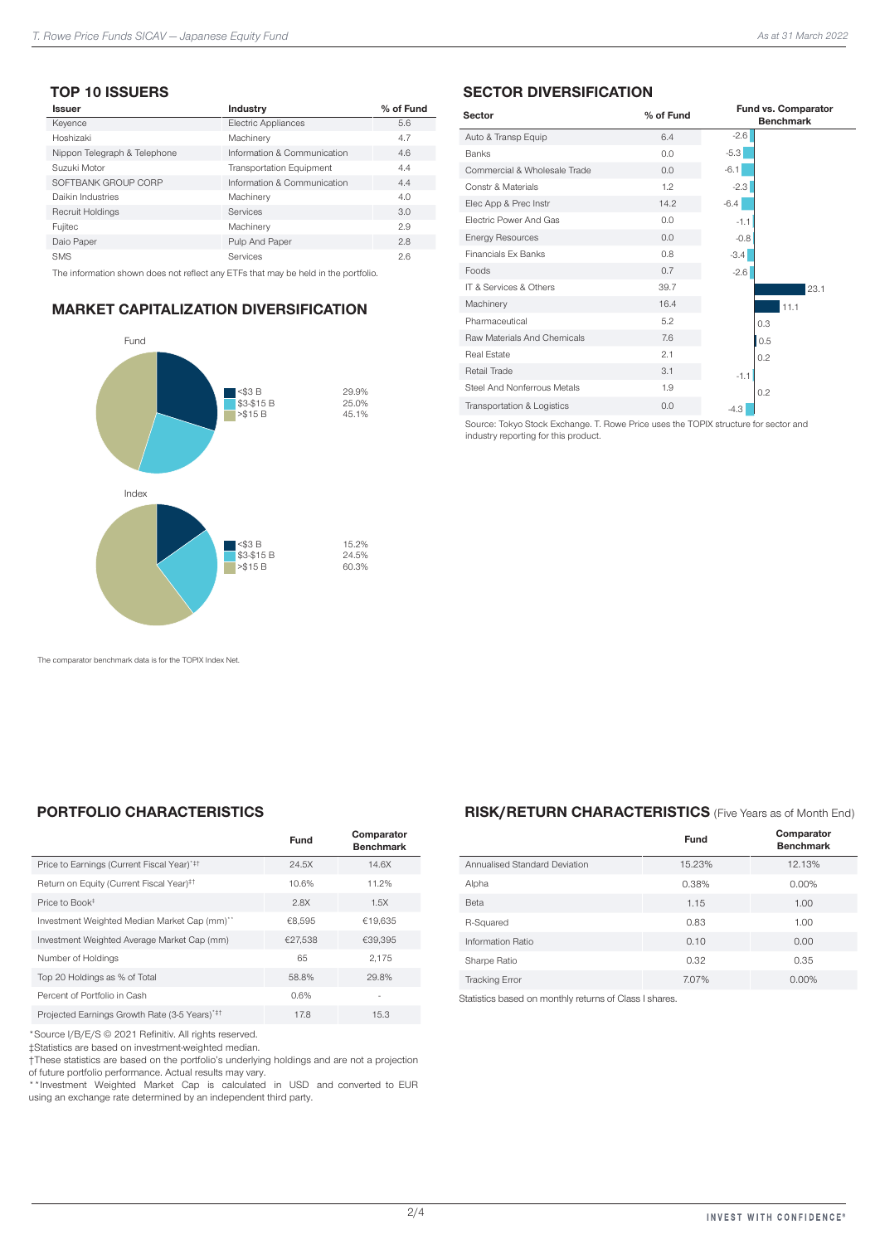# TOP 10 ISSUERS

| <b>Issuer</b>                | Industry                        | % of Fund |
|------------------------------|---------------------------------|-----------|
| Keyence                      | <b>Electric Appliances</b>      | 5.6       |
| Hoshizaki                    | Machinery                       | 4.7       |
| Nippon Telegraph & Telephone | Information & Communication     | 4.6       |
| Suzuki Motor                 | <b>Transportation Equipment</b> | 4.4       |
| SOFTBANK GROUP CORP          | Information & Communication     | 4.4       |
| Daikin Industries            | Machinery                       | 4.0       |
| <b>Recruit Holdings</b>      | Services                        | 3.0       |
| Fujitec                      | Machinery                       | 2.9       |
| Daio Paper                   | Pulp And Paper                  | 2.8       |
| SMS                          | <b>Services</b>                 | 2.6       |

The information shown does not reflect any ETFs that may be held in the portfolio.

# MARKET CAPITALIZATION DIVERSIFICATION



# SECTOR DIVERSIFICATION

| <b>Sector</b>                | % of Fund |        | Fund vs. Comparator<br><b>Benchmark</b> |
|------------------------------|-----------|--------|-----------------------------------------|
| Auto & Transp Equip          | 6.4       | $-2.6$ |                                         |
| <b>Banks</b>                 | 0.0       | $-5.3$ |                                         |
| Commercial & Wholesale Trade | 0.0       | $-6.1$ |                                         |
| Constr & Materials           | 1.2       | $-2.3$ |                                         |
| Elec App & Prec Instr        | 14.2      | $-6.4$ |                                         |
| Flectric Power And Gas       | 0.0       | $-1.1$ |                                         |
| <b>Energy Resources</b>      | 0.0       | $-0.8$ |                                         |
| <b>Financials Fx Banks</b>   | 0.8       | $-3.4$ |                                         |
| Foods                        | 0.7       | $-2.6$ |                                         |
| IT & Services & Others       | 39.7      |        | 23.1                                    |
| Machinery                    | 16.4      |        | 11.1                                    |
| Pharmaceutical               | 5.2       |        | 0.3                                     |
| Raw Materials And Chemicals  | 7.6       |        | 0.5                                     |
| Real Estate                  | 2.1       |        | 0.2                                     |
| Retail Trade                 | 3.1       | $-1.1$ |                                         |
| Steel And Nonferrous Metals  | 1.9       |        | 0.2                                     |
| Transportation & Logistics   | 0.0       | $-4.3$ |                                         |

Source: Tokyo Stock Exchange. T. Rowe Price uses the TOPIX structure for sector and industry reporting for this product.

The comparator benchmark data is for the TOPIX Index Net.

# PORTFOLIO CHARACTERISTICS

|                                                      | Fund    | Comparator<br><b>Benchmark</b> |
|------------------------------------------------------|---------|--------------------------------|
| Price to Earnings (Current Fiscal Year)*#1           | 24.5X   | 14.6X                          |
| Return on Equity (Current Fiscal Year) <sup>‡†</sup> | 10.6%   | 11.2%                          |
| Price to Book <sup>+</sup>                           | 2.8X    | 1.5X                           |
| Investment Weighted Median Market Cap (mm)**         | €8.595  | €19.635                        |
| Investment Weighted Average Market Cap (mm)          | €27.538 | €39.395                        |
| Number of Holdings                                   | 65      | 2,175                          |
| Top 20 Holdings as % of Total                        | 58.8%   | 29.8%                          |
| Percent of Portfolio in Cash                         | 0.6%    |                                |
| Projected Earnings Growth Rate (3-5 Years)*#1        | 17.8    | 15.3                           |
|                                                      |         |                                |

\*Source I/B/E/S © 2021 Refinitiv. All rights reserved.

‡Statistics are based on investment-weighted median.

†These statistics are based on the portfolio's underlying holdings and are not a projection of future portfolio performance. Actual results may vary.

\*\*Investment Weighted Market Cap is calculated in USD and converted to EUR using an exchange rate determined by an independent third party.

#### RISK/RETURN CHARACTERISTICS (Five Years as of Month End)

|                               | Fund   | Comparator<br><b>Benchmark</b> |
|-------------------------------|--------|--------------------------------|
| Annualised Standard Deviation | 15.23% | 12.13%                         |
| Alpha                         | 0.38%  | 0.00%                          |
| Beta                          | 1.15   | 1.00                           |
| R-Squared                     | 0.83   | 1.00                           |
| <b>Information Ratio</b>      | 0.10   | 0.00                           |
| Sharpe Ratio                  | 0.32   | 0.35                           |
| <b>Tracking Error</b>         | 7.07%  | 0.00%                          |

Statistics based on monthly returns of Class I shares.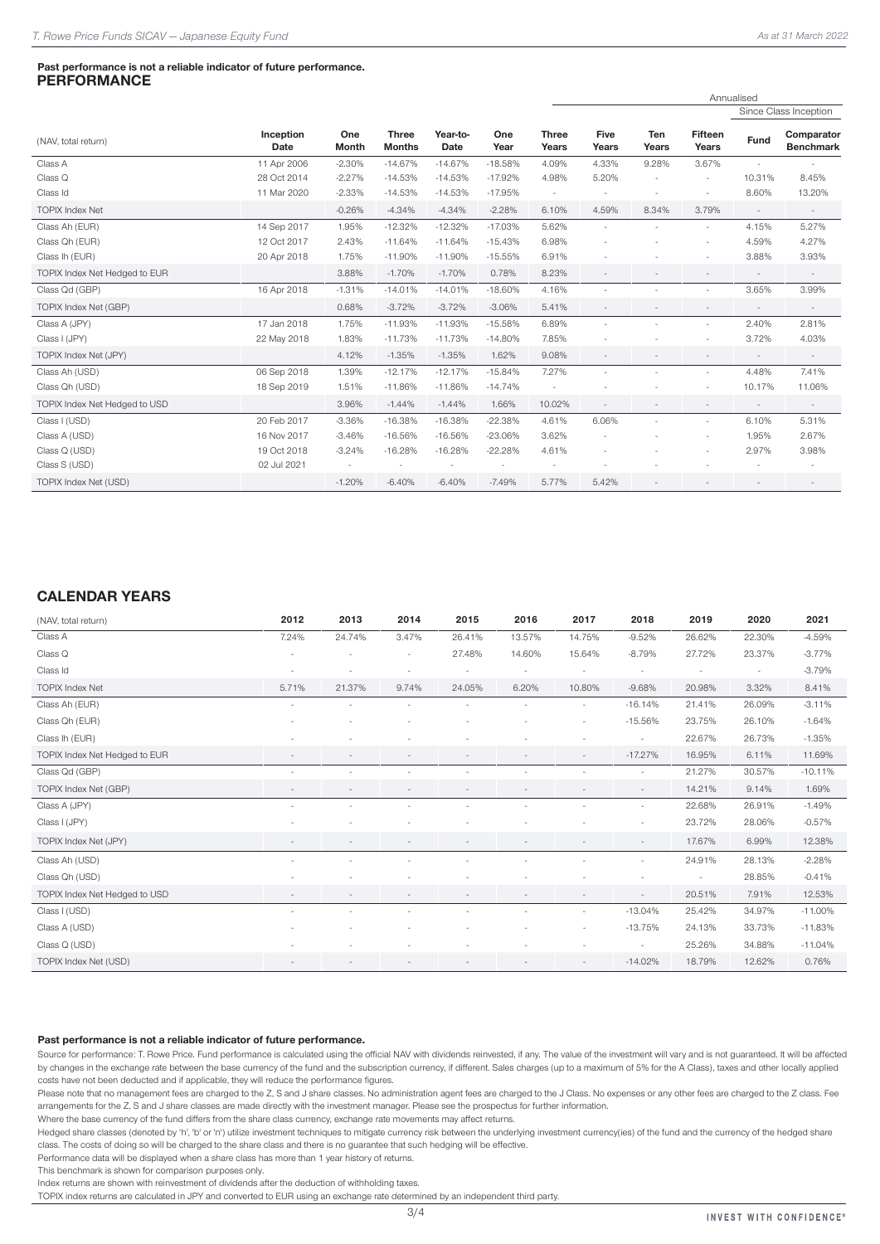#### Past performance is not a reliable indicator of future performance. **PERFORMANCE**

Annualised

|                               |                   |                     |                               |                  |             |                          |                      |              |                          |        | Since Class Inception          |
|-------------------------------|-------------------|---------------------|-------------------------------|------------------|-------------|--------------------------|----------------------|--------------|--------------------------|--------|--------------------------------|
| (NAV, total return)           | Inception<br>Date | One<br><b>Month</b> | <b>Three</b><br><b>Months</b> | Year-to-<br>Date | One<br>Year | <b>Three</b><br>Years    | <b>Five</b><br>Years | Ten<br>Years | <b>Fifteen</b><br>Years  | Fund   | Comparator<br><b>Benchmark</b> |
| Class A                       | 11 Apr 2006       | $-2.30%$            | $-14.67%$                     | $-14.67%$        | $-18.58%$   | 4.09%                    | 4.33%                | 9.28%        | 3.67%                    |        |                                |
| Class Q                       | 28 Oct 2014       | $-2.27%$            | $-14.53%$                     | $-14.53%$        | $-17.92%$   | 4.98%                    | 5.20%                |              |                          | 10.31% | 8.45%                          |
| Class Id                      | 11 Mar 2020       | $-2.33%$            | $-14.53%$                     | $-14.53%$        | $-17.95%$   | $\overline{\phantom{a}}$ |                      |              | $\overline{\phantom{0}}$ | 8.60%  | 13.20%                         |
| <b>TOPIX Index Net</b>        |                   | $-0.26%$            | $-4.34%$                      | $-4.34%$         | $-2.28%$    | 6.10%                    | 4.59%                | 8.34%        | 3.79%                    |        |                                |
| Class Ah (EUR)                | 14 Sep 2017       | 1.95%               | $-12.32%$                     | $-12.32%$        | $-17.03%$   | 5.62%                    | ٠                    |              | $\overline{\phantom{a}}$ | 4.15%  | 5.27%                          |
| Class Qh (EUR)                | 12 Oct 2017       | 2.43%               | $-11.64%$                     | $-11.64%$        | $-15.43%$   | 6.98%                    |                      |              |                          | 4.59%  | 4.27%                          |
| Class Ih (EUR)                | 20 Apr 2018       | 1.75%               | $-11.90%$                     | $-11.90%$        | $-15.55%$   | 6.91%                    |                      |              |                          | 3.88%  | 3.93%                          |
| TOPIX Index Net Hedged to EUR |                   | 3.88%               | $-1.70%$                      | $-1.70%$         | 0.78%       | 8.23%                    |                      |              |                          |        |                                |
| Class Qd (GBP)                | 16 Apr 2018       | $-1.31%$            | $-14.01%$                     | $-14.01%$        | $-18.60%$   | 4.16%                    | ٠                    |              | $\overline{\phantom{a}}$ | 3.65%  | 3.99%                          |
| TOPIX Index Net (GBP)         |                   | 0.68%               | $-3.72%$                      | $-3.72%$         | $-3.06%$    | 5.41%                    |                      |              |                          |        |                                |
| Class A (JPY)                 | 17 Jan 2018       | 1.75%               | $-11.93%$                     | $-11.93%$        | $-15.58%$   | 6.89%                    |                      |              | ٠                        | 2.40%  | 2.81%                          |
| Class I (JPY)                 | 22 May 2018       | 1.83%               | $-11.73%$                     | $-11.73%$        | $-14.80%$   | 7.85%                    |                      |              | $\overline{\phantom{a}}$ | 3.72%  | 4.03%                          |
| TOPIX Index Net (JPY)         |                   | 4.12%               | $-1.35%$                      | $-1.35%$         | 1.62%       | 9.08%                    |                      |              |                          |        |                                |
| Class Ah (USD)                | 06 Sep 2018       | 1.39%               | $-12.17%$                     | $-12.17%$        | $-15.84%$   | 7.27%                    | ÷,                   |              | $\overline{\phantom{a}}$ | 4.48%  | 7.41%                          |
| Class Qh (USD)                | 18 Sep 2019       | 1.51%               | $-11.86%$                     | $-11.86%$        | $-14.74%$   |                          |                      |              |                          | 10.17% | 11.06%                         |
| TOPIX Index Net Hedged to USD |                   | 3.96%               | $-1.44%$                      | $-1.44%$         | 1.66%       | 10.02%                   |                      |              |                          |        |                                |
| Class I (USD)                 | 20 Feb 2017       | $-3.36%$            | $-16.38%$                     | $-16.38%$        | $-22.38%$   | 4.61%                    | 6.06%                |              | $\sim$                   | 6.10%  | 5.31%                          |
| Class A (USD)                 | 16 Nov 2017       | $-3.46%$            | $-16.56%$                     | $-16.56%$        | $-23.06%$   | 3.62%                    |                      |              | ٠                        | 1.95%  | 2.67%                          |
| Class Q (USD)                 | 19 Oct 2018       | $-3.24%$            | $-16.28%$                     | $-16.28%$        | $-22.28%$   | 4.61%                    |                      |              |                          | 2.97%  | 3.98%                          |
| Class S (USD)                 | 02 Jul 2021       |                     |                               |                  |             |                          |                      |              |                          |        |                                |
| TOPIX Index Net (USD)         |                   | $-1.20%$            | $-6.40%$                      | $-6.40%$         | $-7.49%$    | 5.77%                    | 5.42%                |              |                          |        |                                |

#### CALENDAR YEARS

| (NAV, total return)           | 2012      | 2013   | 2014                     | 2015   | 2016   | 2017                     | 2018                     | 2019   | 2020   | 2021       |
|-------------------------------|-----------|--------|--------------------------|--------|--------|--------------------------|--------------------------|--------|--------|------------|
| Class A                       | 7.24%     | 24.74% | 3.47%                    | 26.41% | 13.57% | 14.75%                   | $-9.52%$                 | 26.62% | 22.30% | $-4.59%$   |
| Class Q                       |           |        | $\overline{\phantom{a}}$ | 27.48% | 14.60% | 15.64%                   | $-8.79%$                 | 27.72% | 23.37% | $-3.77%$   |
| Class Id                      |           |        | $\sim$                   |        | ٠      | $\overline{\phantom{a}}$ | $\sim$                   | ٠      | $\sim$ | $-3.79%$   |
| <b>TOPIX Index Net</b>        | 5.71%     | 21.37% | 9.74%                    | 24.05% | 6.20%  | 10.80%                   | $-9.68%$                 | 20.98% | 3.32%  | 8.41%      |
| Class Ah (EUR)                | $\bar{a}$ |        |                          |        |        |                          | $-16.14%$                | 21.41% | 26.09% | $-3.11%$   |
| Class Qh (EUR)                |           |        |                          |        |        |                          | $-15.56%$                | 23.75% | 26.10% | $-1.64%$   |
| Class Ih (EUR)                |           |        |                          |        |        |                          | $\sim$                   | 22.67% | 26.73% | $-1.35%$   |
| TOPIX Index Net Hedged to EUR |           |        |                          |        |        | $\overline{\phantom{a}}$ | $-17.27%$                | 16.95% | 6.11%  | 11.69%     |
| Class Qd (GBP)                | $\sim$    |        |                          |        |        |                          | $\sim$                   | 21.27% | 30.57% | $-10.11%$  |
| TOPIX Index Net (GBP)         |           |        |                          |        |        |                          | $\overline{\phantom{a}}$ | 14.21% | 9.14%  | 1.69%      |
| Class A (JPY)                 | ٠         | $\sim$ |                          |        |        |                          | $\sim$                   | 22.68% | 26.91% | $-1.49%$   |
| Class I (JPY)                 |           |        |                          |        |        |                          |                          | 23.72% | 28.06% | $-0.57%$   |
| TOPIX Index Net (JPY)         |           |        |                          |        |        |                          | $\sim$                   | 17.67% | 6.99%  | 12.38%     |
| Class Ah (USD)                |           |        |                          |        |        |                          | ٠                        | 24.91% | 28.13% | $-2.28%$   |
| Class Qh (USD)                | ٠         |        |                          |        |        |                          |                          | ÷,     | 28.85% | $-0.41%$   |
| TOPIX Index Net Hedged to USD |           |        |                          |        |        |                          | $\overline{\phantom{a}}$ | 20.51% | 7.91%  | 12.53%     |
| Class I (USD)                 | ٠         | $\sim$ | ٠                        | ٠      | ٠      | $\overline{\phantom{a}}$ | $-13.04%$                | 25.42% | 34.97% | $-11.00\%$ |
| Class A (USD)                 |           |        |                          |        |        |                          | $-13.75%$                | 24.13% | 33.73% | $-11.83%$  |
| Class Q (USD)                 |           |        |                          |        |        |                          |                          | 25.26% | 34.88% | $-11.04%$  |
| TOPIX Index Net (USD)         | $\sim$    |        |                          |        |        | $\overline{\phantom{a}}$ | $-14.02%$                | 18.79% | 12.62% | 0.76%      |

#### Past performance is not a reliable indicator of future performance.

Source for performance: T. Rowe Price. Fund performance is calculated using the official NAV with dividends reinvested, if any. The value of the investment will vary and is not quaranteed. It will be affected by changes in the exchange rate between the base currency of the fund and the subscription currency, if different. Sales charges (up to a maximum of 5% for the A Class), taxes and other locally applied costs have not been deducted and if applicable, they will reduce the performance figures.

Please note that no management fees are charged to the Z, S and J share classes. No administration agent fees are charged to the J Class. No expenses or any other fees are charged to the J Class. No expenses or any other f arrangements for the Z, S and J share classes are made directly with the investment manager. Please see the prospectus for further information.

Where the base currency of the fund differs from the share class currency, exchange rate movements may affect returns.

Hedged share classes (denoted by 'h', 'b' or 'n') utilize investment techniques to mitigate currency risk between the underlying investment currency(ies) of the fund and the currency of the hedged share class. The costs of doing so will be charged to the share class and there is no guarantee that such hedging will be effective.

Performance data will be displayed when a share class has more than 1 year history of returns.

This benchmark is shown for comparison purposes only.

Index returns are shown with reinvestment of dividends after the deduction of withholding taxes.

TOPIX index returns are calculated in JPY and converted to EUR using an exchange rate determined by an independent third party.